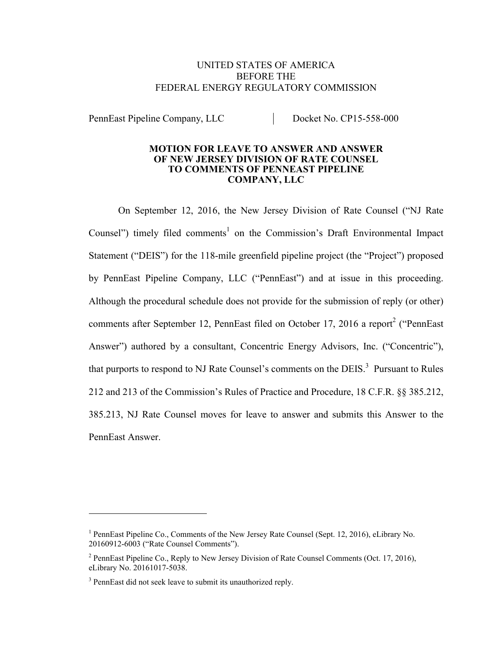### UNITED STATES OF AMERICA BEFORE THE FEDERAL ENERGY REGULATORY COMMISSION

PennEast Pipeline Company, LLC<br>Docket No. CP15-558-000

#### **MOTION FOR LEAVE TO ANSWER AND ANSWER OF NEW JERSEY DIVISION OF RATE COUNSEL TO COMMENTS OF PENNEAST PIPELINE COMPANY, LLC**

On September 12, 2016, the New Jersey Division of Rate Counsel ("NJ Rate Counsel") timely filed comments<sup>1</sup> on the Commission's Draft Environmental Impact Statement ("DEIS") for the 118-mile greenfield pipeline project (the "Project") proposed by PennEast Pipeline Company, LLC ("PennEast") and at issue in this proceeding. Although the procedural schedule does not provide for the submission of reply (or other) comments after September 12, PennEast filed on October 17, 2016 a report<sup>2</sup> ("PennEast Answer") authored by a consultant, Concentric Energy Advisors, Inc. ("Concentric"), that purports to respond to NJ Rate Counsel's comments on the DEIS.<sup>3</sup> Pursuant to Rules 212 and 213 of the Commission's Rules of Practice and Procedure, 18 C.F.R. §§ 385.212, 385.213, NJ Rate Counsel moves for leave to answer and submits this Answer to the PennEast Answer.

<sup>&</sup>lt;sup>1</sup> PennEast Pipeline Co., Comments of the New Jersey Rate Counsel (Sept. 12, 2016), eLibrary No. 20160912-6003 ("Rate Counsel Comments").

<sup>&</sup>lt;sup>2</sup> PennEast Pipeline Co., Reply to New Jersey Division of Rate Counsel Comments (Oct. 17, 2016), eLibrary No. 20161017-5038.

 $3$  PennEast did not seek leave to submit its unauthorized reply.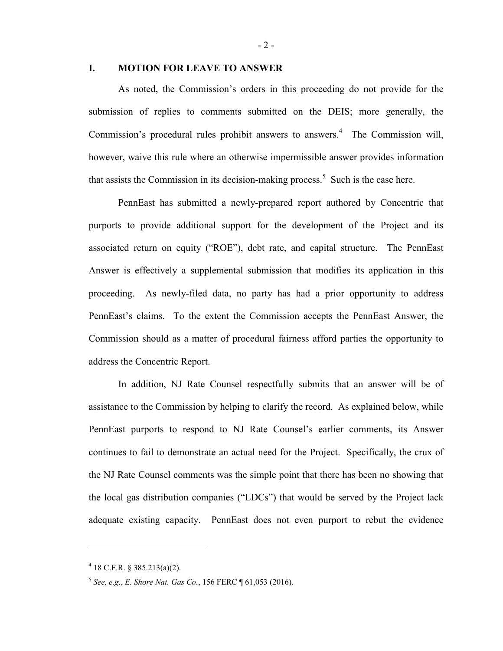#### **I. MOTION FOR LEAVE TO ANSWER**

As noted, the Commission's orders in this proceeding do not provide for the submission of replies to comments submitted on the DEIS; more generally, the Commission's procedural rules prohibit answers to answers.<sup>4</sup> The Commission will, however, waive this rule where an otherwise impermissible answer provides information that assists the Commission in its decision-making process.<sup>5</sup> Such is the case here.

PennEast has submitted a newly-prepared report authored by Concentric that purports to provide additional support for the development of the Project and its associated return on equity ("ROE"), debt rate, and capital structure. The PennEast Answer is effectively a supplemental submission that modifies its application in this proceeding. As newly-filed data, no party has had a prior opportunity to address PennEast's claims. To the extent the Commission accepts the PennEast Answer, the Commission should as a matter of procedural fairness afford parties the opportunity to address the Concentric Report.

In addition, NJ Rate Counsel respectfully submits that an answer will be of assistance to the Commission by helping to clarify the record. As explained below, while PennEast purports to respond to NJ Rate Counsel's earlier comments, its Answer continues to fail to demonstrate an actual need for the Project. Specifically, the crux of the NJ Rate Counsel comments was the simple point that there has been no showing that the local gas distribution companies ("LDCs") that would be served by the Project lack adequate existing capacity. PennEast does not even purport to rebut the evidence

 $4$  18 C.F.R. § 385.213(a)(2).

<sup>5</sup> *See, e.g.*, *E. Shore Nat. Gas Co.*, 156 FERC ¶ 61,053 (2016).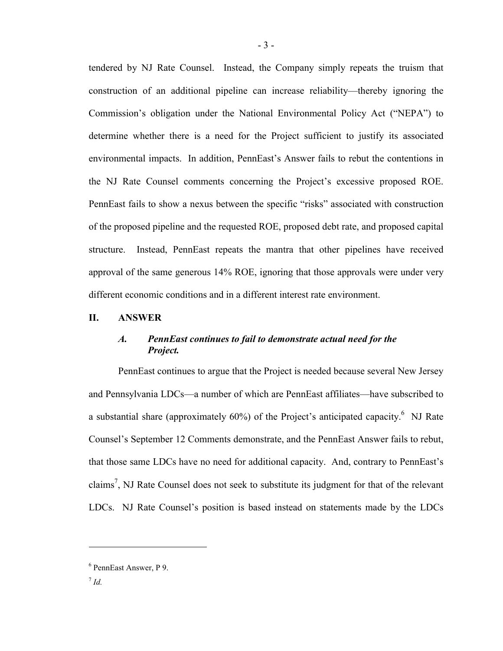tendered by NJ Rate Counsel. Instead, the Company simply repeats the truism that construction of an additional pipeline can increase reliability—thereby ignoring the Commission's obligation under the National Environmental Policy Act ("NEPA") to determine whether there is a need for the Project sufficient to justify its associated environmental impacts. In addition, PennEast's Answer fails to rebut the contentions in the NJ Rate Counsel comments concerning the Project's excessive proposed ROE. PennEast fails to show a nexus between the specific "risks" associated with construction of the proposed pipeline and the requested ROE, proposed debt rate, and proposed capital structure. Instead, PennEast repeats the mantra that other pipelines have received approval of the same generous 14% ROE, ignoring that those approvals were under very different economic conditions and in a different interest rate environment.

### **II. ANSWER**

## *A. PennEast continues to fail to demonstrate actual need for the Project.*

PennEast continues to argue that the Project is needed because several New Jersey and Pennsylvania LDCs—a number of which are PennEast affiliates—have subscribed to a substantial share (approximately  $60\%$ ) of the Project's anticipated capacity.<sup>6</sup> NJ Rate Counsel's September 12 Comments demonstrate, and the PennEast Answer fails to rebut, that those same LDCs have no need for additional capacity. And, contrary to PennEast's claims<sup>7</sup>, NJ Rate Counsel does not seek to substitute its judgment for that of the relevant LDCs. NJ Rate Counsel's position is based instead on statements made by the LDCs

<sup>6</sup> PennEast Answer, P 9.

<sup>7</sup> *Id.*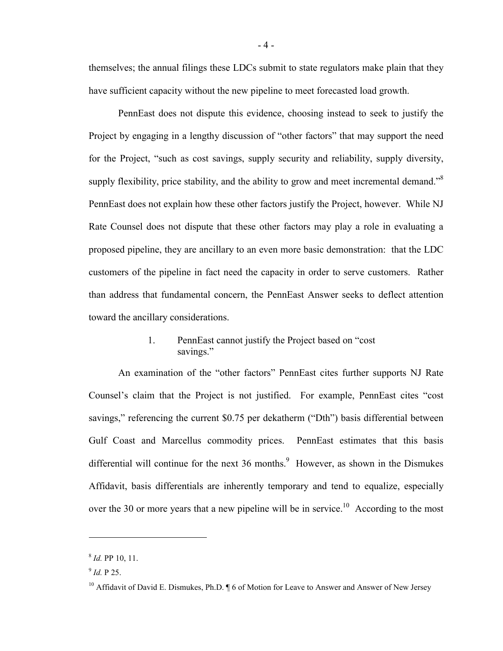themselves; the annual filings these LDCs submit to state regulators make plain that they have sufficient capacity without the new pipeline to meet forecasted load growth.

PennEast does not dispute this evidence, choosing instead to seek to justify the Project by engaging in a lengthy discussion of "other factors" that may support the need for the Project, "such as cost savings, supply security and reliability, supply diversity, supply flexibility, price stability, and the ability to grow and meet incremental demand.<sup>58</sup> PennEast does not explain how these other factors justify the Project, however. While NJ Rate Counsel does not dispute that these other factors may play a role in evaluating a proposed pipeline, they are ancillary to an even more basic demonstration: that the LDC customers of the pipeline in fact need the capacity in order to serve customers. Rather than address that fundamental concern, the PennEast Answer seeks to deflect attention toward the ancillary considerations.

# 1. PennEast cannot justify the Project based on "cost savings."

An examination of the "other factors" PennEast cites further supports NJ Rate Counsel's claim that the Project is not justified. For example, PennEast cites "cost savings," referencing the current \$0.75 per dekatherm ("Dth") basis differential between Gulf Coast and Marcellus commodity prices. PennEast estimates that this basis differential will continue for the next  $36$  months.<sup>9</sup> However, as shown in the Dismukes Affidavit, basis differentials are inherently temporary and tend to equalize, especially over the 30 or more years that a new pipeline will be in service.<sup>10</sup> According to the most

<sup>8</sup> *Id.* PP 10, 11.

<sup>9</sup> *Id.* P 25.

<sup>&</sup>lt;sup>10</sup> Affidavit of David E. Dismukes, Ph.D.  $\P$  6 of Motion for Leave to Answer and Answer of New Jersey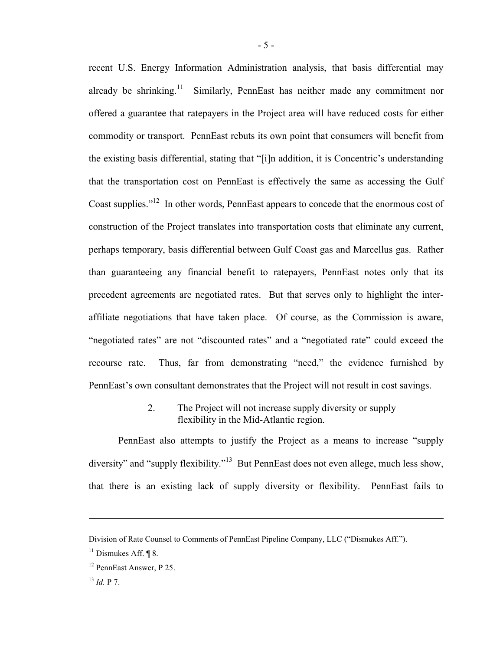recent U.S. Energy Information Administration analysis, that basis differential may already be shrinking.<sup>11</sup> Similarly, PennEast has neither made any commitment nor offered a guarantee that ratepayers in the Project area will have reduced costs for either commodity or transport. PennEast rebuts its own point that consumers will benefit from the existing basis differential, stating that "[i]n addition, it is Concentric's understanding that the transportation cost on PennEast is effectively the same as accessing the Gulf Coast supplies."<sup>12</sup> In other words, PennEast appears to concede that the enormous cost of construction of the Project translates into transportation costs that eliminate any current, perhaps temporary, basis differential between Gulf Coast gas and Marcellus gas. Rather than guaranteeing any financial benefit to ratepayers, PennEast notes only that its precedent agreements are negotiated rates. But that serves only to highlight the interaffiliate negotiations that have taken place. Of course, as the Commission is aware, "negotiated rates" are not "discounted rates" and a "negotiated rate" could exceed the recourse rate. Thus, far from demonstrating "need," the evidence furnished by PennEast's own consultant demonstrates that the Project will not result in cost savings.

# 2. The Project will not increase supply diversity or supply flexibility in the Mid-Atlantic region.

PennEast also attempts to justify the Project as a means to increase "supply diversity" and "supply flexibility."<sup>13</sup> But PennEast does not even allege, much less show, that there is an existing lack of supply diversity or flexibility. PennEast fails to

Division of Rate Counsel to Comments of PennEast Pipeline Company, LLC ("Dismukes Aff.").

 $11$  Dismukes Aff. ¶ 8.

<sup>12</sup> PennEast Answer, P 25.

 $^{13}$  *Id.* P.7.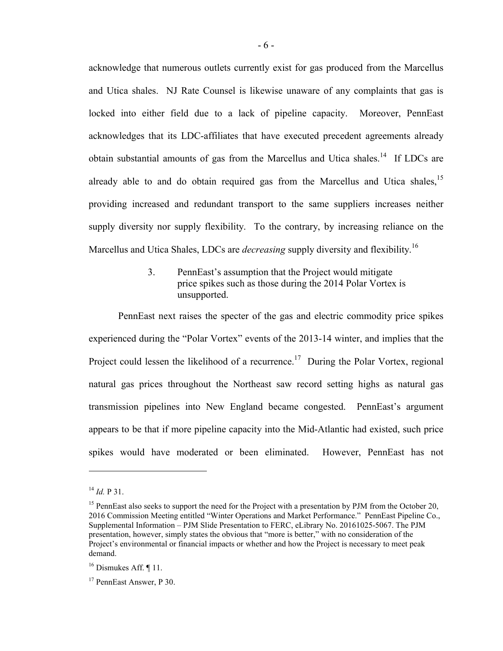acknowledge that numerous outlets currently exist for gas produced from the Marcellus and Utica shales. NJ Rate Counsel is likewise unaware of any complaints that gas is locked into either field due to a lack of pipeline capacity. Moreover, PennEast acknowledges that its LDC-affiliates that have executed precedent agreements already obtain substantial amounts of gas from the Marcellus and Utica shales.<sup>14</sup> If LDCs are already able to and do obtain required gas from the Marcellus and Utica shales,<sup>15</sup> providing increased and redundant transport to the same suppliers increases neither supply diversity nor supply flexibility. To the contrary, by increasing reliance on the Marcellus and Utica Shales, LDCs are *decreasing* supply diversity and flexibility. 16

> 3. PennEast's assumption that the Project would mitigate price spikes such as those during the 2014 Polar Vortex is unsupported.

PennEast next raises the specter of the gas and electric commodity price spikes experienced during the "Polar Vortex" events of the 2013-14 winter, and implies that the Project could lessen the likelihood of a recurrence.<sup>17</sup> During the Polar Vortex, regional natural gas prices throughout the Northeast saw record setting highs as natural gas transmission pipelines into New England became congested. PennEast's argument appears to be that if more pipeline capacity into the Mid-Atlantic had existed, such price spikes would have moderated or been eliminated. However, PennEast has not

 $^{14}$  *Id.* **P** 31.

<sup>&</sup>lt;sup>15</sup> PennEast also seeks to support the need for the Project with a presentation by PJM from the October 20, 2016 Commission Meeting entitled "Winter Operations and Market Performance." PennEast Pipeline Co., Supplemental Information – PJM Slide Presentation to FERC, eLibrary No. 20161025-5067. The PJM presentation, however, simply states the obvious that "more is better," with no consideration of the Project's environmental or financial impacts or whether and how the Project is necessary to meet peak demand.

 $16$  Dismukes Aff. [11.]

<sup>&</sup>lt;sup>17</sup> PennEast Answer, P 30.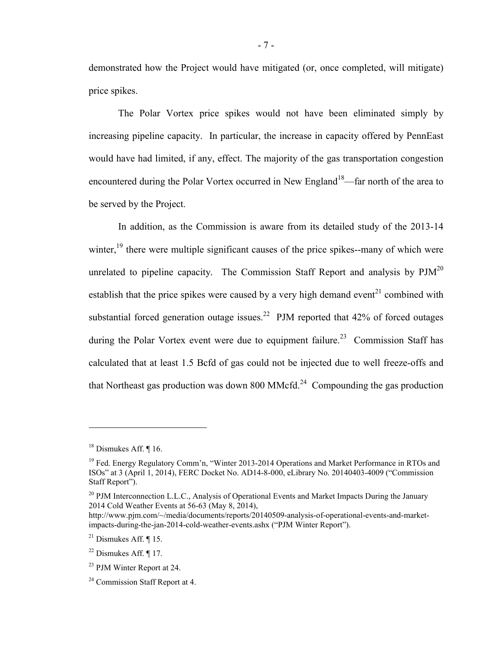demonstrated how the Project would have mitigated (or, once completed, will mitigate) price spikes.

The Polar Vortex price spikes would not have been eliminated simply by increasing pipeline capacity. In particular, the increase in capacity offered by PennEast would have had limited, if any, effect. The majority of the gas transportation congestion encountered during the Polar Vortex occurred in New England<sup>18</sup>—far north of the area to be served by the Project.

In addition, as the Commission is aware from its detailed study of the 2013-14 winter,  $19$  there were multiple significant causes of the price spikes--many of which were unrelated to pipeline capacity. The Commission Staff Report and analysis by  $PJM^{20}$ establish that the price spikes were caused by a very high demand event<sup>21</sup> combined with substantial forced generation outage issues.<sup>22</sup> PJM reported that  $42\%$  of forced outages during the Polar Vortex event were due to equipment failure.<sup>23</sup> Commission Staff has calculated that at least 1.5 Bcfd of gas could not be injected due to well freeze-offs and that Northeast gas production was down 800 MMcfd. $24$  Compounding the gas production

<sup>&</sup>lt;sup>18</sup> Dismukes Aff. ¶ 16.

<sup>&</sup>lt;sup>19</sup> Fed. Energy Regulatory Comm'n, "Winter 2013-2014 Operations and Market Performance in RTOs and ISOs" at 3 (April 1, 2014), FERC Docket No. AD14-8-000, eLibrary No. 20140403-4009 ("Commission Staff Report").

<sup>&</sup>lt;sup>20</sup> PJM Interconnection L.L.C., Analysis of Operational Events and Market Impacts During the January 2014 Cold Weather Events at 56-63 (May 8, 2014),

http://www.pjm.com/~/media/documents/reports/20140509-analysis-of-operational-events-and-marketimpacts-during-the-jan-2014-cold-weather-events.ashx ("PJM Winter Report").

 $21$  Dismukes Aff. ¶ 15.

 $22$  Dismukes Aff. ¶ 17.

<sup>23</sup> PJM Winter Report at 24.

<sup>&</sup>lt;sup>24</sup> Commission Staff Report at 4.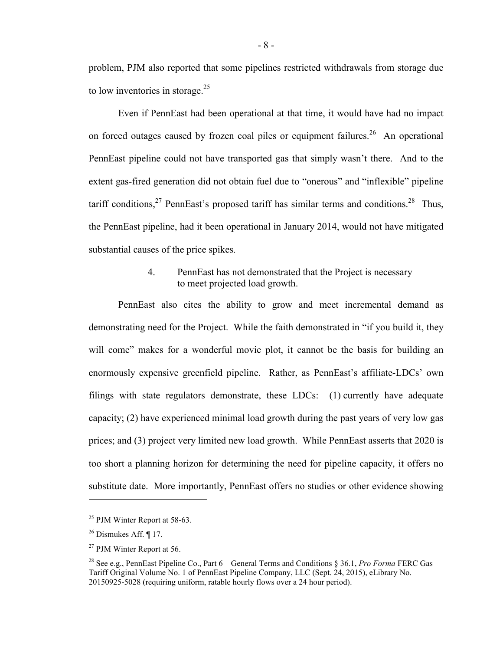problem, PJM also reported that some pipelines restricted withdrawals from storage due to low inventories in storage. $25$ 

Even if PennEast had been operational at that time, it would have had no impact on forced outages caused by frozen coal piles or equipment failures.<sup>26</sup> An operational PennEast pipeline could not have transported gas that simply wasn't there. And to the extent gas-fired generation did not obtain fuel due to "onerous" and "inflexible" pipeline tariff conditions,  $27$  PennEast's proposed tariff has similar terms and conditions. <sup>28</sup> Thus, the PennEast pipeline, had it been operational in January 2014, would not have mitigated substantial causes of the price spikes.

## 4. PennEast has not demonstrated that the Project is necessary to meet projected load growth.

PennEast also cites the ability to grow and meet incremental demand as demonstrating need for the Project. While the faith demonstrated in "if you build it, they will come" makes for a wonderful movie plot, it cannot be the basis for building an enormously expensive greenfield pipeline. Rather, as PennEast's affiliate-LDCs' own filings with state regulators demonstrate, these LDCs: (1) currently have adequate capacity; (2) have experienced minimal load growth during the past years of very low gas prices; and (3) project very limited new load growth. While PennEast asserts that 2020 is too short a planning horizon for determining the need for pipeline capacity, it offers no substitute date. More importantly, PennEast offers no studies or other evidence showing

 $25$  PJM Winter Report at 58-63.

 $26$  Dismukes Aff.  $\P$  17.

<sup>27</sup> PJM Winter Report at 56.

<sup>28</sup> See e.g., PennEast Pipeline Co., Part 6 – General Terms and Conditions § 36.1, *Pro Forma* FERC Gas Tariff Original Volume No. 1 of PennEast Pipeline Company, LLC (Sept. 24, 2015), eLibrary No. 20150925-5028 (requiring uniform, ratable hourly flows over a 24 hour period).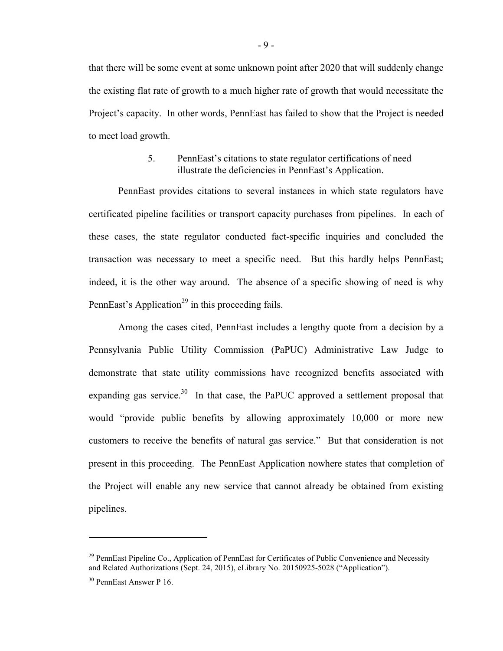that there will be some event at some unknown point after 2020 that will suddenly change the existing flat rate of growth to a much higher rate of growth that would necessitate the Project's capacity. In other words, PennEast has failed to show that the Project is needed to meet load growth.

## 5. PennEast's citations to state regulator certifications of need illustrate the deficiencies in PennEast's Application.

PennEast provides citations to several instances in which state regulators have certificated pipeline facilities or transport capacity purchases from pipelines. In each of these cases, the state regulator conducted fact-specific inquiries and concluded the transaction was necessary to meet a specific need. But this hardly helps PennEast; indeed, it is the other way around. The absence of a specific showing of need is why PennEast's Application<sup>29</sup> in this proceeding fails.

Among the cases cited, PennEast includes a lengthy quote from a decision by a Pennsylvania Public Utility Commission (PaPUC) Administrative Law Judge to demonstrate that state utility commissions have recognized benefits associated with expanding gas service.<sup>30</sup> In that case, the PaPUC approved a settlement proposal that would "provide public benefits by allowing approximately 10,000 or more new customers to receive the benefits of natural gas service." But that consideration is not present in this proceeding. The PennEast Application nowhere states that completion of the Project will enable any new service that cannot already be obtained from existing pipelines.

<sup>&</sup>lt;sup>29</sup> PennEast Pipeline Co., Application of PennEast for Certificates of Public Convenience and Necessity and Related Authorizations (Sept. 24, 2015), eLibrary No. 20150925-5028 ("Application").

<sup>30</sup> PennEast Answer P 16.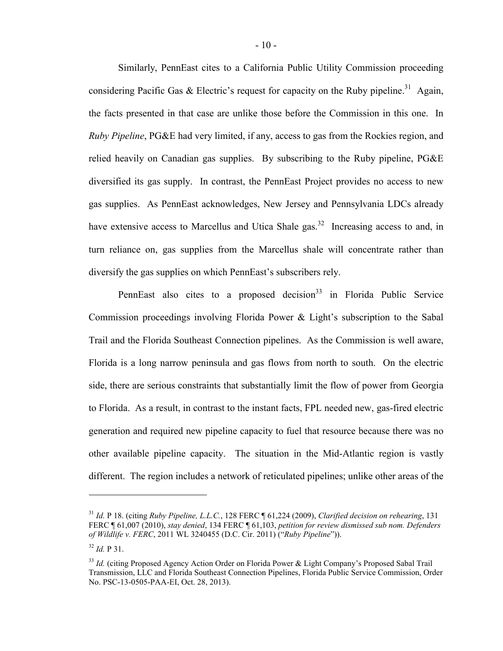Similarly, PennEast cites to a California Public Utility Commission proceeding considering Pacific Gas & Electric's request for capacity on the Ruby pipeline.<sup>31</sup> Again, the facts presented in that case are unlike those before the Commission in this one. In *Ruby Pipeline*, PG&E had very limited, if any, access to gas from the Rockies region, and relied heavily on Canadian gas supplies. By subscribing to the Ruby pipeline, PG&E diversified its gas supply. In contrast, the PennEast Project provides no access to new gas supplies. As PennEast acknowledges, New Jersey and Pennsylvania LDCs already have extensive access to Marcellus and Utica Shale gas.<sup>32</sup> Increasing access to and, in turn reliance on, gas supplies from the Marcellus shale will concentrate rather than diversify the gas supplies on which PennEast's subscribers rely.

PennEast also cites to a proposed decision  $33$  in Florida Public Service Commission proceedings involving Florida Power & Light's subscription to the Sabal Trail and the Florida Southeast Connection pipelines. As the Commission is well aware, Florida is a long narrow peninsula and gas flows from north to south. On the electric side, there are serious constraints that substantially limit the flow of power from Georgia to Florida. As a result, in contrast to the instant facts, FPL needed new, gas-fired electric generation and required new pipeline capacity to fuel that resource because there was no other available pipeline capacity. The situation in the Mid-Atlantic region is vastly different. The region includes a network of reticulated pipelines; unlike other areas of the

<sup>31</sup> *Id.* P 18. (citing *Ruby Pipeline, L.L.C.*, 128 FERC ¶ 61,224 (2009), *Clarified decision on rehearing*, 131 FERC ¶ 61,007 (2010), *stay denied*, 134 FERC ¶ 61,103, *petition for review dismissed sub nom. Defenders of Wildlife v. FERC*, 2011 WL 3240455 (D.C. Cir. 2011) ("*Ruby Pipeline*")).

 $32$  *Id.* P 31.

<sup>&</sup>lt;sup>33</sup> *Id.* (citing Proposed Agency Action Order on Florida Power & Light Company's Proposed Sabal Trail Transmission, LLC and Florida Southeast Connection Pipelines, Florida Public Service Commission, Order No. PSC-13-0505-PAA-EI, Oct. 28, 2013).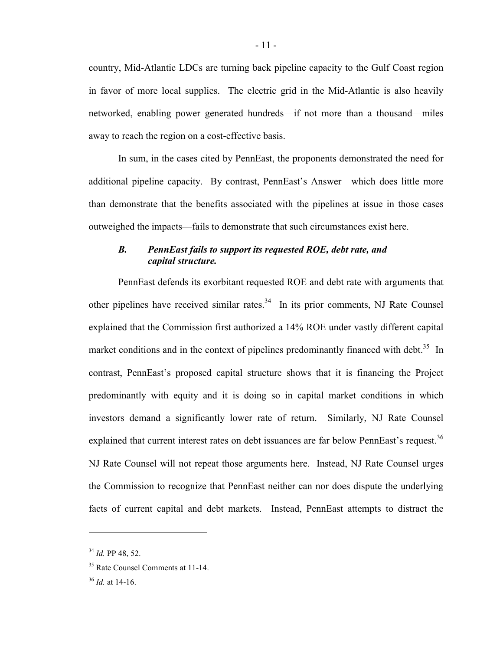country, Mid-Atlantic LDCs are turning back pipeline capacity to the Gulf Coast region in favor of more local supplies. The electric grid in the Mid-Atlantic is also heavily networked, enabling power generated hundreds—if not more than a thousand—miles away to reach the region on a cost-effective basis.

In sum, in the cases cited by PennEast, the proponents demonstrated the need for additional pipeline capacity. By contrast, PennEast's Answer—which does little more than demonstrate that the benefits associated with the pipelines at issue in those cases outweighed the impacts—fails to demonstrate that such circumstances exist here.

## *B. PennEast fails to support its requested ROE, debt rate, and capital structure.*

PennEast defends its exorbitant requested ROE and debt rate with arguments that other pipelines have received similar rates. $34$  In its prior comments, NJ Rate Counsel explained that the Commission first authorized a 14% ROE under vastly different capital market conditions and in the context of pipelines predominantly financed with debt.<sup>35</sup> In contrast, PennEast's proposed capital structure shows that it is financing the Project predominantly with equity and it is doing so in capital market conditions in which investors demand a significantly lower rate of return. Similarly, NJ Rate Counsel explained that current interest rates on debt issuances are far below PennEast's request.<sup>36</sup> NJ Rate Counsel will not repeat those arguments here. Instead, NJ Rate Counsel urges the Commission to recognize that PennEast neither can nor does dispute the underlying facts of current capital and debt markets. Instead, PennEast attempts to distract the

<sup>34</sup> *Id.* PP 48, 52.

<sup>&</sup>lt;sup>35</sup> Rate Counsel Comments at 11-14.

<sup>36</sup> *Id.* at 14-16.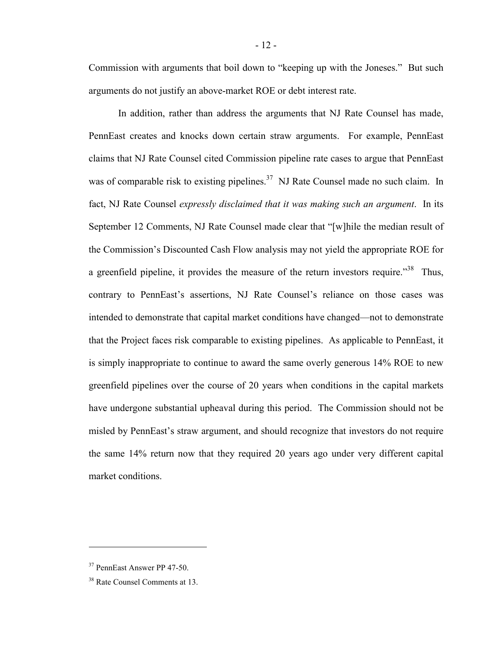Commission with arguments that boil down to "keeping up with the Joneses." But such arguments do not justify an above-market ROE or debt interest rate.

In addition, rather than address the arguments that NJ Rate Counsel has made, PennEast creates and knocks down certain straw arguments. For example, PennEast claims that NJ Rate Counsel cited Commission pipeline rate cases to argue that PennEast was of comparable risk to existing pipelines.<sup>37</sup> NJ Rate Counsel made no such claim. In fact, NJ Rate Counsel *expressly disclaimed that it was making such an argument*. In its September 12 Comments, NJ Rate Counsel made clear that "[w]hile the median result of the Commission's Discounted Cash Flow analysis may not yield the appropriate ROE for a greenfield pipeline, it provides the measure of the return investors require.<sup> $38$ </sup> Thus, contrary to PennEast's assertions, NJ Rate Counsel's reliance on those cases was intended to demonstrate that capital market conditions have changed—not to demonstrate that the Project faces risk comparable to existing pipelines. As applicable to PennEast, it is simply inappropriate to continue to award the same overly generous 14% ROE to new greenfield pipelines over the course of 20 years when conditions in the capital markets have undergone substantial upheaval during this period. The Commission should not be misled by PennEast's straw argument, and should recognize that investors do not require the same 14% return now that they required 20 years ago under very different capital market conditions.

<sup>37</sup> PennEast Answer PP 47-50.

<sup>&</sup>lt;sup>38</sup> Rate Counsel Comments at 13.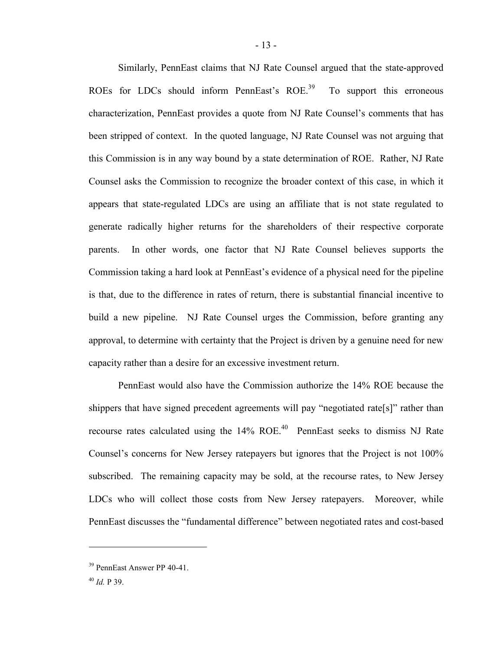Similarly, PennEast claims that NJ Rate Counsel argued that the state-approved ROEs for LDCs should inform PennEast's ROE.<sup>39</sup> To support this erroneous characterization, PennEast provides a quote from NJ Rate Counsel's comments that has been stripped of context. In the quoted language, NJ Rate Counsel was not arguing that this Commission is in any way bound by a state determination of ROE. Rather, NJ Rate Counsel asks the Commission to recognize the broader context of this case, in which it appears that state-regulated LDCs are using an affiliate that is not state regulated to generate radically higher returns for the shareholders of their respective corporate parents. In other words, one factor that NJ Rate Counsel believes supports the Commission taking a hard look at PennEast's evidence of a physical need for the pipeline is that, due to the difference in rates of return, there is substantial financial incentive to build a new pipeline. NJ Rate Counsel urges the Commission, before granting any approval, to determine with certainty that the Project is driven by a genuine need for new capacity rather than a desire for an excessive investment return.

PennEast would also have the Commission authorize the 14% ROE because the shippers that have signed precedent agreements will pay "negotiated rate[s]" rather than recourse rates calculated using the  $14\%$  ROE.<sup>40</sup> PennEast seeks to dismiss NJ Rate Counsel's concerns for New Jersey ratepayers but ignores that the Project is not 100% subscribed. The remaining capacity may be sold, at the recourse rates, to New Jersey LDCs who will collect those costs from New Jersey ratepayers. Moreover, while PennEast discusses the "fundamental difference" between negotiated rates and cost-based

<sup>39</sup> PennEast Answer PP 40-41.

<sup>40</sup> *Id.* P 39.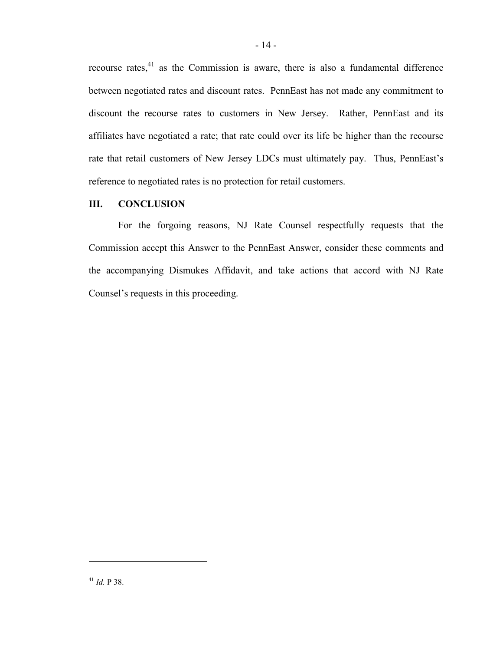recourse rates, $41$  as the Commission is aware, there is also a fundamental difference between negotiated rates and discount rates. PennEast has not made any commitment to discount the recourse rates to customers in New Jersey. Rather, PennEast and its affiliates have negotiated a rate; that rate could over its life be higher than the recourse rate that retail customers of New Jersey LDCs must ultimately pay. Thus, PennEast's reference to negotiated rates is no protection for retail customers.

## **III. CONCLUSION**

For the forgoing reasons, NJ Rate Counsel respectfully requests that the Commission accept this Answer to the PennEast Answer, consider these comments and the accompanying Dismukes Affidavit, and take actions that accord with NJ Rate Counsel's requests in this proceeding.

<sup>41</sup> *Id.* P 38.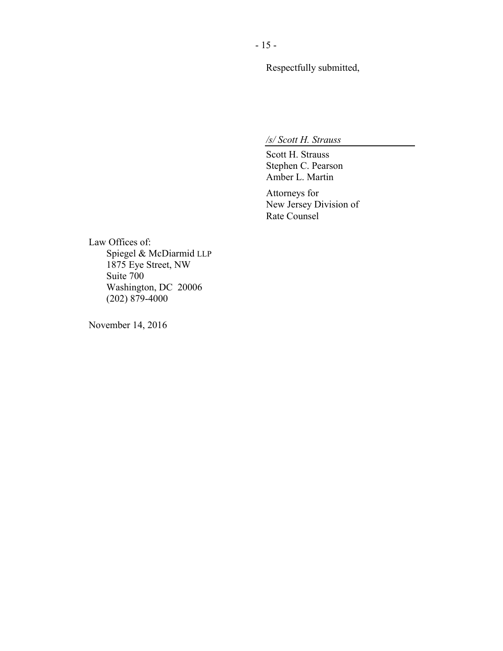Respectfully submitted,

*/s/ Scott H. Strauss*

Scott H. Strauss Stephen C. Pearson Amber L. Martin

Attorneys for New Jersey Division of Rate Counsel

Law Offices of: Spiegel & McDiarmid LLP 1875 Eye Street, NW Suite 700 Washington, DC 20006 (202) 879-4000

November 14, 2016